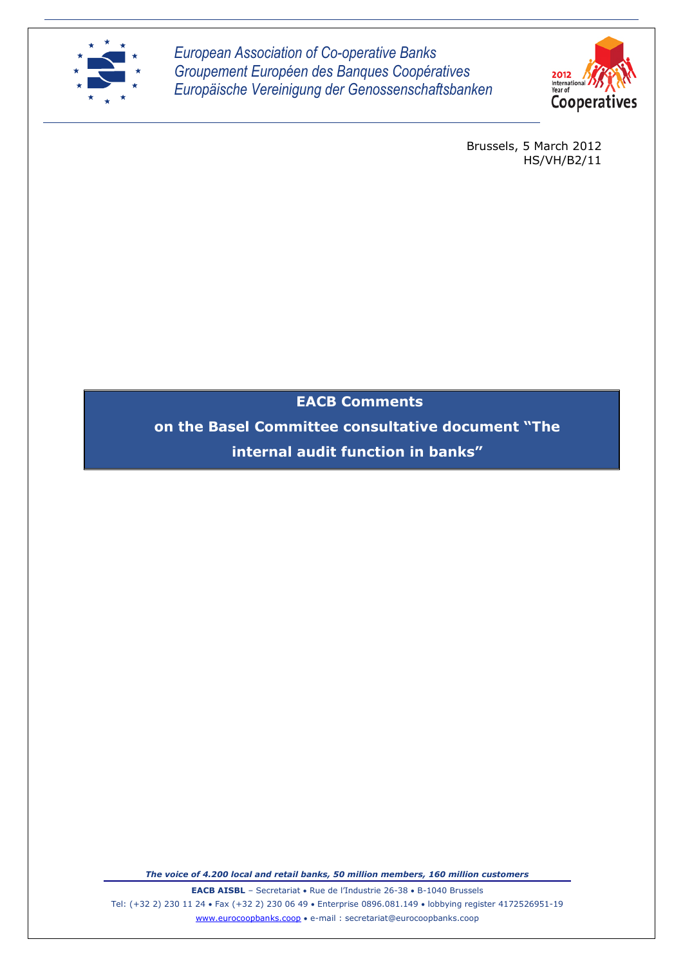

*European Association of Co-operative Banks Groupement Européen des Banques Coopératives Europäische Vereinigung der Genossenschaftsbanken*



Brussels, 5 March 2012 HS/VH/B2/11

**EACB Comments**

**on the Basel Committee consultative document "The internal audit function in banks"**

*The voice of 4.200 local and retail banks, 50 million members, 160 million customers*

**EACB AISBL** – Secretariat • Rue de l'Industrie 26-38 • B-1040 Brussels Tel: (+32 2) 230 11 24 Fax (+32 2) 230 06 49 Enterprise 0896.081.149 lobbying register 4172526951-19 www.eurocoopbanks.coop e-mail : secretariat@eurocoopbanks.coop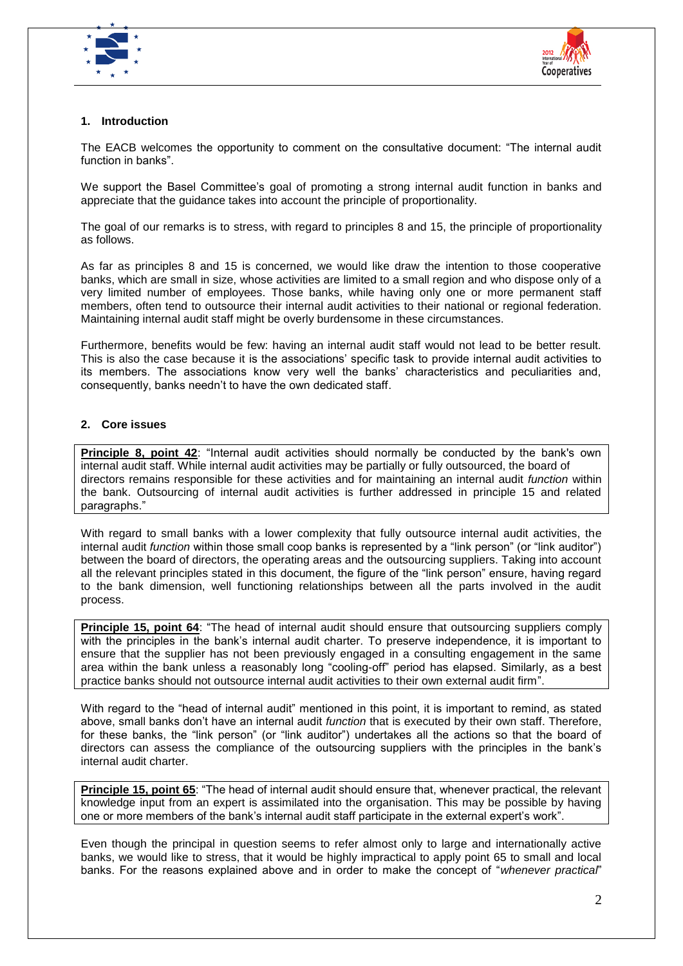



## **1. Introduction**

The EACB welcomes the opportunity to comment on the consultative document: "The internal audit function in banks".

We support the Basel Committee's goal of promoting a strong internal audit function in banks and appreciate that the guidance takes into account the principle of proportionality.

The goal of our remarks is to stress, with regard to principles 8 and 15, the principle of proportionality as follows.

As far as principles 8 and 15 is concerned, we would like draw the intention to those cooperative banks, which are small in size, whose activities are limited to a small region and who dispose only of a very limited number of employees. Those banks, while having only one or more permanent staff members, often tend to outsource their internal audit activities to their national or regional federation. Maintaining internal audit staff might be overly burdensome in these circumstances.

Furthermore, benefits would be few: having an internal audit staff would not lead to be better result. This is also the case because it is the associations' specific task to provide internal audit activities to its members. The associations know very well the banks' characteristics and peculiarities and, consequently, banks needn't to have the own dedicated staff.

## **2. Core issues**

**Principle 8, point 42**: "Internal audit activities should normally be conducted by the bank's own internal audit staff. While internal audit activities may be partially or fully outsourced, the board of directors remains responsible for these activities and for maintaining an internal audit *function* within the bank. Outsourcing of internal audit activities is further addressed in principle 15 and related paragraphs."

With regard to small banks with a lower complexity that fully outsource internal audit activities, the internal audit *function* within those small coop banks is represented by a "link person" (or "link auditor") between the board of directors, the operating areas and the outsourcing suppliers. Taking into account all the relevant principles stated in this document, the figure of the "link person" ensure, having regard to the bank dimension, well functioning relationships between all the parts involved in the audit process.

**Principle 15, point 64**: "The head of internal audit should ensure that outsourcing suppliers comply with the principles in the bank's internal audit charter. To preserve independence, it is important to ensure that the supplier has not been previously engaged in a consulting engagement in the same area within the bank unless a reasonably long "cooling-off" period has elapsed. Similarly, as a best practice banks should not outsource internal audit activities to their own external audit firm".

With regard to the "head of internal audit" mentioned in this point, it is important to remind, as stated above, small banks don't have an internal audit *function* that is executed by their own staff. Therefore, for these banks, the "link person" (or "link auditor") undertakes all the actions so that the board of directors can assess the compliance of the outsourcing suppliers with the principles in the bank's internal audit charter.

**Principle 15, point 65**: "The head of internal audit should ensure that, whenever practical, the relevant knowledge input from an expert is assimilated into the organisation. This may be possible by having one or more members of the bank's internal audit staff participate in the external expert's work".

Even though the principal in question seems to refer almost only to large and internationally active banks, we would like to stress, that it would be highly impractical to apply point 65 to small and local banks. For the reasons explained above and in order to make the concept of "*whenever practical*"